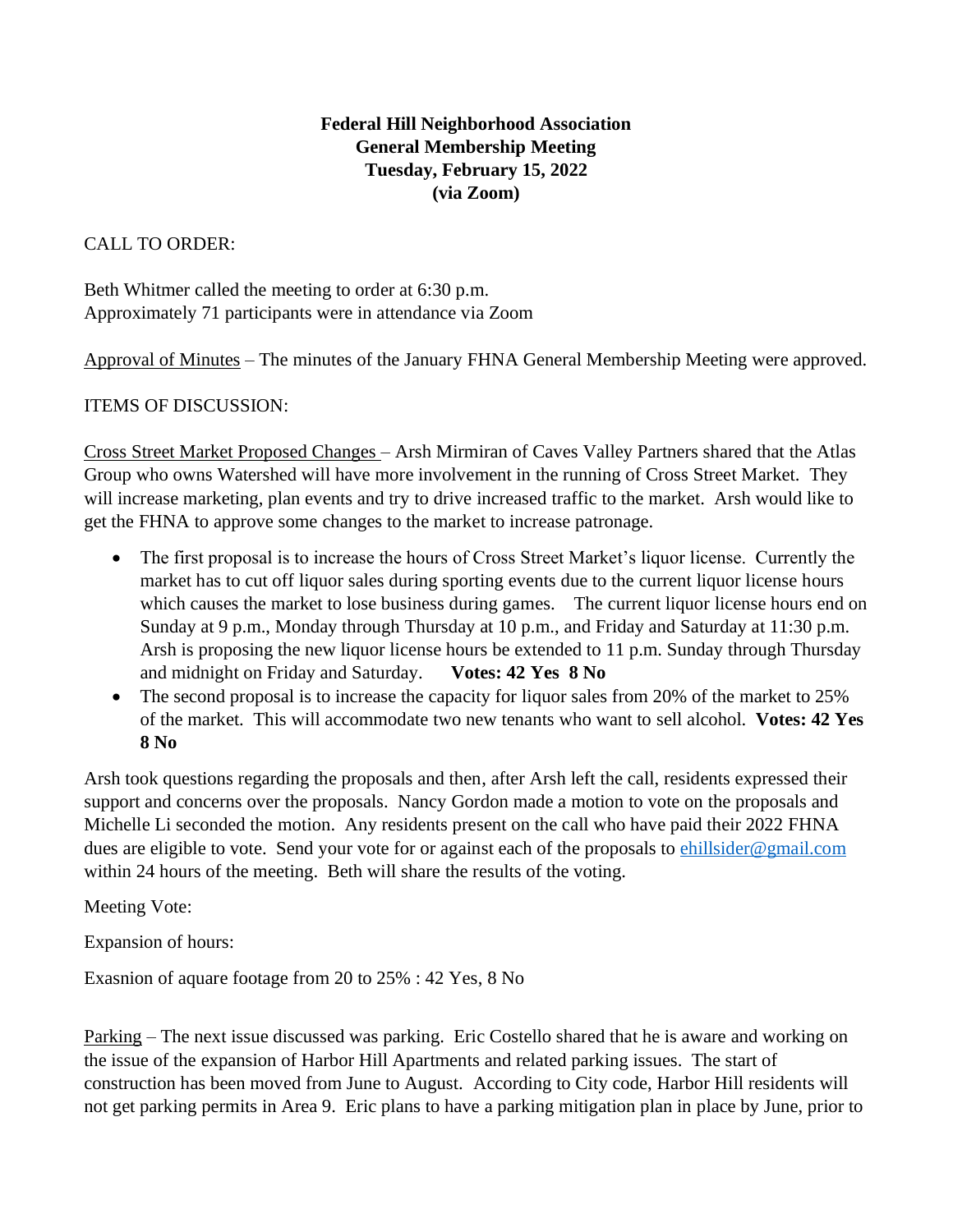## **Federal Hill Neighborhood Association General Membership Meeting Tuesday, February 15, 2022 (via Zoom)**

## CALL TO ORDER:

Beth Whitmer called the meeting to order at 6:30 p.m. Approximately 71 participants were in attendance via Zoom

Approval of Minutes – The minutes of the January FHNA General Membership Meeting were approved.

ITEMS OF DISCUSSION:

Cross Street Market Proposed Changes – Arsh Mirmiran of Caves Valley Partners shared that the Atlas Group who owns Watershed will have more involvement in the running of Cross Street Market. They will increase marketing, plan events and try to drive increased traffic to the market. Arsh would like to get the FHNA to approve some changes to the market to increase patronage.

- The first proposal is to increase the hours of Cross Street Market's liquor license. Currently the market has to cut off liquor sales during sporting events due to the current liquor license hours which causes the market to lose business during games. The current liquor license hours end on Sunday at 9 p.m., Monday through Thursday at 10 p.m., and Friday and Saturday at 11:30 p.m. Arsh is proposing the new liquor license hours be extended to 11 p.m. Sunday through Thursday and midnight on Friday and Saturday. **Votes: 42 Yes 8 No**
- The second proposal is to increase the capacity for liquor sales from 20% of the market to 25% of the market. This will accommodate two new tenants who want to sell alcohol. **Votes: 42 Yes 8 No**

Arsh took questions regarding the proposals and then, after Arsh left the call, residents expressed their support and concerns over the proposals. Nancy Gordon made a motion to vote on the proposals and Michelle Li seconded the motion. Any residents present on the call who have paid their 2022 FHNA dues are eligible to vote. Send your vote for or against each of the proposals to [ehillsider@gmail.com](mailto:ehillsider@gmail.com) within 24 hours of the meeting. Beth will share the results of the voting.

Meeting Vote:

Expansion of hours:

Exasnion of aquare footage from 20 to 25% : 42 Yes, 8 No

Parking – The next issue discussed was parking. Eric Costello shared that he is aware and working on the issue of the expansion of Harbor Hill Apartments and related parking issues. The start of construction has been moved from June to August. According to City code, Harbor Hill residents will not get parking permits in Area 9. Eric plans to have a parking mitigation plan in place by June, prior to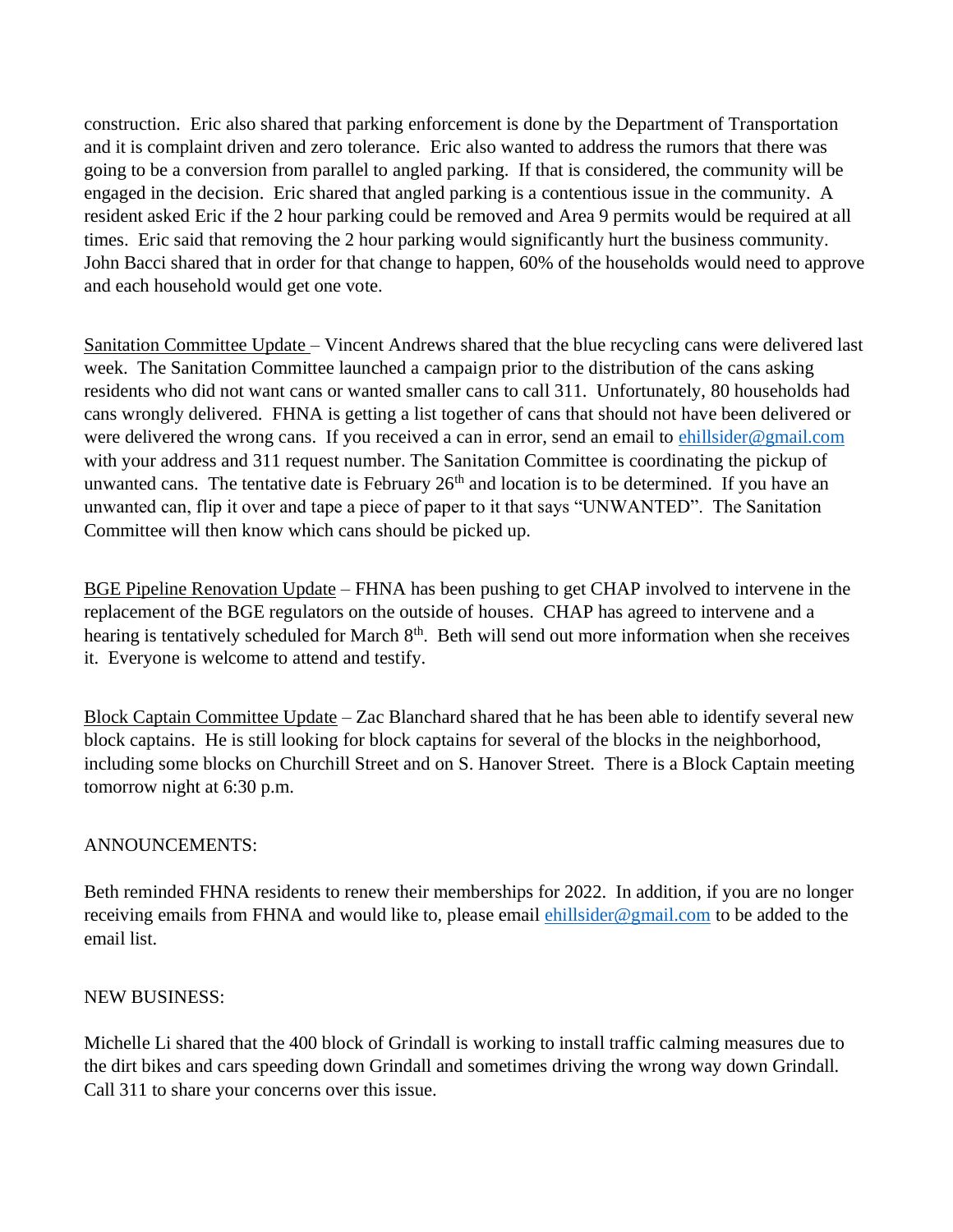construction. Eric also shared that parking enforcement is done by the Department of Transportation and it is complaint driven and zero tolerance. Eric also wanted to address the rumors that there was going to be a conversion from parallel to angled parking. If that is considered, the community will be engaged in the decision. Eric shared that angled parking is a contentious issue in the community. A resident asked Eric if the 2 hour parking could be removed and Area 9 permits would be required at all times. Eric said that removing the 2 hour parking would significantly hurt the business community. John Bacci shared that in order for that change to happen, 60% of the households would need to approve and each household would get one vote.

Sanitation Committee Update – Vincent Andrews shared that the blue recycling cans were delivered last week. The Sanitation Committee launched a campaign prior to the distribution of the cans asking residents who did not want cans or wanted smaller cans to call 311. Unfortunately, 80 households had cans wrongly delivered. FHNA is getting a list together of cans that should not have been delivered or were delivered the wrong cans. If you received a can in error, send an email to [ehillsider@gmail.com](mailto:ehillsider@gmail.com) with your address and 311 request number. The Sanitation Committee is coordinating the pickup of unwanted cans. The tentative date is February  $26<sup>th</sup>$  and location is to be determined. If you have an unwanted can, flip it over and tape a piece of paper to it that says "UNWANTED". The Sanitation Committee will then know which cans should be picked up.

BGE Pipeline Renovation Update – FHNA has been pushing to get CHAP involved to intervene in the replacement of the BGE regulators on the outside of houses. CHAP has agreed to intervene and a hearing is tentatively scheduled for March 8<sup>th</sup>. Beth will send out more information when she receives it. Everyone is welcome to attend and testify.

Block Captain Committee Update – Zac Blanchard shared that he has been able to identify several new block captains. He is still looking for block captains for several of the blocks in the neighborhood, including some blocks on Churchill Street and on S. Hanover Street. There is a Block Captain meeting tomorrow night at 6:30 p.m.

## ANNOUNCEMENTS:

Beth reminded FHNA residents to renew their memberships for 2022. In addition, if you are no longer receiving emails from FHNA and would like to, please email *ehillsider@gmail.com* to be added to the email list.

## NEW BUSINESS:

Michelle Li shared that the 400 block of Grindall is working to install traffic calming measures due to the dirt bikes and cars speeding down Grindall and sometimes driving the wrong way down Grindall. Call 311 to share your concerns over this issue.